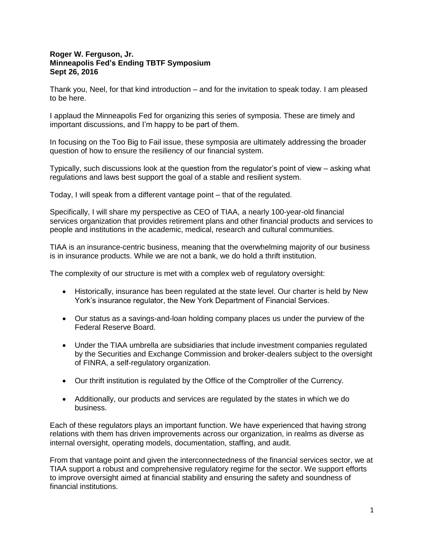## **Roger W. Ferguson, Jr. Minneapolis Fed's Ending TBTF Symposium Sept 26, 2016**

Thank you, Neel, for that kind introduction – and for the invitation to speak today. I am pleased to be here.

I applaud the Minneapolis Fed for organizing this series of symposia. These are timely and important discussions, and I'm happy to be part of them.

In focusing on the Too Big to Fail issue, these symposia are ultimately addressing the broader question of how to ensure the resiliency of our financial system.

Typically, such discussions look at the question from the regulator's point of view – asking what regulations and laws best support the goal of a stable and resilient system.

Today, I will speak from a different vantage point – that of the regulated.

Specifically, I will share my perspective as CEO of TIAA, a nearly 100-year-old financial services organization that provides retirement plans and other financial products and services to people and institutions in the academic, medical, research and cultural communities.

TIAA is an insurance-centric business, meaning that the overwhelming majority of our business is in insurance products. While we are not a bank, we do hold a thrift institution.

The complexity of our structure is met with a complex web of regulatory oversight:

- Historically, insurance has been regulated at the state level. Our charter is held by New York's insurance regulator, the New York Department of Financial Services.
- Our status as a savings-and-loan holding company places us under the purview of the Federal Reserve Board.
- Under the TIAA umbrella are subsidiaries that include investment companies regulated by the Securities and Exchange Commission and broker-dealers subject to the oversight of FINRA, a self-regulatory organization.
- Our thrift institution is regulated by the Office of the Comptroller of the Currency.
- Additionally, our products and services are regulated by the states in which we do business.

Each of these regulators plays an important function. We have experienced that having strong relations with them has driven improvements across our organization, in realms as diverse as internal oversight, operating models, documentation, staffing, and audit.

From that vantage point and given the interconnectedness of the financial services sector, we at TIAA support a robust and comprehensive regulatory regime for the sector. We support efforts to improve oversight aimed at financial stability and ensuring the safety and soundness of financial institutions.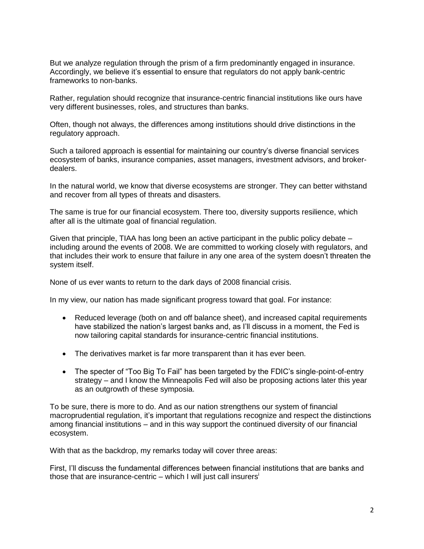But we analyze regulation through the prism of a firm predominantly engaged in insurance. Accordingly, we believe it's essential to ensure that regulators do not apply bank-centric frameworks to non-banks.

Rather, regulation should recognize that insurance-centric financial institutions like ours have very different businesses, roles, and structures than banks.

Often, though not always, the differences among institutions should drive distinctions in the regulatory approach.

Such a tailored approach is essential for maintaining our country's diverse financial services ecosystem of banks, insurance companies, asset managers, investment advisors, and brokerdealers.

In the natural world, we know that diverse ecosystems are stronger. They can better withstand and recover from all types of threats and disasters.

The same is true for our financial ecosystem. There too, diversity supports resilience, which after all is the ultimate goal of financial regulation.

Given that principle, TIAA has long been an active participant in the public policy debate – including around the events of 2008. We are committed to working closely with regulators, and that includes their work to ensure that failure in any one area of the system doesn't threaten the system itself.

None of us ever wants to return to the dark days of 2008 financial crisis.

In my view, our nation has made significant progress toward that goal. For instance:

- Reduced leverage (both on and off balance sheet), and increased capital requirements have stabilized the nation's largest banks and, as I'll discuss in a moment, the Fed is now tailoring capital standards for insurance-centric financial institutions.
- The derivatives market is far more transparent than it has ever been.
- The specter of "Too Big To Fail" has been targeted by the FDIC's single-point-of-entry strategy – and I know the Minneapolis Fed will also be proposing actions later this year as an outgrowth of these symposia.

To be sure, there is more to do. And as our nation strengthens our system of financial macroprudential regulation, it's important that regulations recognize and respect the distinctions among financial institutions – and in this way support the continued diversity of our financial ecosystem.

With that as the backdrop, my remarks today will cover three areas:

First, I'll discuss the fundamental differences between financial institutions that are banks and those that are insurance-centric – which I will just call insurers<sup>i</sup>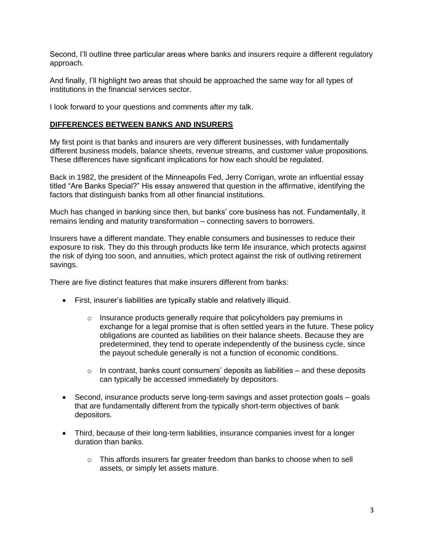Second, I'll outline three particular areas where banks and insurers require a different regulatory approach.

And finally, I'll highlight two areas that should be approached the same way for all types of institutions in the financial services sector.

I look forward to your questions and comments after my talk.

## **DIFFERENCES BETWEEN BANKS AND INSURERS**

My first point is that banks and insurers are very different businesses, with fundamentally different business models, balance sheets, revenue streams, and customer value propositions. These differences have significant implications for how each should be regulated.

Back in 1982, the president of the Minneapolis Fed, Jerry Corrigan, wrote an influential essay titled "Are Banks Special?" His essay answered that question in the affirmative, identifying the factors that distinguish banks from all other financial institutions.

Much has changed in banking since then, but banks' core business has not. Fundamentally, it remains lending and maturity transformation – connecting savers to borrowers.

Insurers have a different mandate. They enable consumers and businesses to reduce their exposure to risk. They do this through products like term life insurance, which protects against the risk of dying too soon, and annuities, which protect against the risk of outliving retirement savings.

There are five distinct features that make insurers different from banks:

- First, insurer's liabilities are typically stable and relatively illiquid.
	- $\circ$  Insurance products generally require that policyholders pay premiums in exchange for a legal promise that is often settled years in the future. These policy obligations are counted as liabilities on their balance sheets. Because they are predetermined, they tend to operate independently of the business cycle, since the payout schedule generally is not a function of economic conditions.
	- $\circ$  In contrast, banks count consumers' deposits as liabilities and these deposits can typically be accessed immediately by depositors.
- Second, insurance products serve long-term savings and asset protection goals goals that are fundamentally different from the typically short-term objectives of bank depositors.
- Third, because of their long-term liabilities, insurance companies invest for a longer duration than banks.
	- $\circ$  This affords insurers far greater freedom than banks to choose when to sell assets, or simply let assets mature.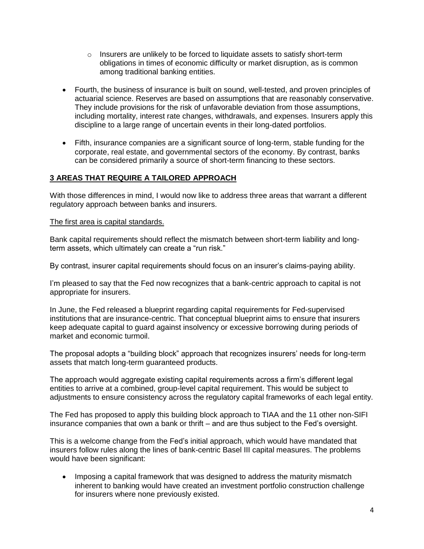- $\circ$  Insurers are unlikely to be forced to liquidate assets to satisfy short-term obligations in times of economic difficulty or market disruption, as is common among traditional banking entities.
- Fourth, the business of insurance is built on sound, well-tested, and proven principles of actuarial science. Reserves are based on assumptions that are reasonably conservative. They include provisions for the risk of unfavorable deviation from those assumptions, including mortality, interest rate changes, withdrawals, and expenses. Insurers apply this discipline to a large range of uncertain events in their long-dated portfolios.
- Fifth, insurance companies are a significant source of long-term, stable funding for the corporate, real estate, and governmental sectors of the economy. By contrast, banks can be considered primarily a source of short-term financing to these sectors.

# **3 AREAS THAT REQUIRE A TAILORED APPROACH**

With those differences in mind, I would now like to address three areas that warrant a different regulatory approach between banks and insurers.

#### The first area is capital standards.

Bank capital requirements should reflect the mismatch between short-term liability and longterm assets, which ultimately can create a "run risk."

By contrast, insurer capital requirements should focus on an insurer's claims-paying ability.

I'm pleased to say that the Fed now recognizes that a bank-centric approach to capital is not appropriate for insurers.

In June, the Fed released a blueprint regarding capital requirements for Fed-supervised institutions that are insurance-centric. That conceptual blueprint aims to ensure that insurers keep adequate capital to guard against insolvency or excessive borrowing during periods of market and economic turmoil.

The proposal adopts a "building block" approach that recognizes insurers' needs for long-term assets that match long-term guaranteed products.

The approach would aggregate existing capital requirements across a firm's different legal entities to arrive at a combined, group-level capital requirement. This would be subject to adjustments to ensure consistency across the regulatory capital frameworks of each legal entity.

The Fed has proposed to apply this building block approach to TIAA and the 11 other non-SIFI insurance companies that own a bank or thrift – and are thus subject to the Fed's oversight.

This is a welcome change from the Fed's initial approach, which would have mandated that insurers follow rules along the lines of bank-centric Basel III capital measures. The problems would have been significant:

• Imposing a capital framework that was designed to address the maturity mismatch inherent to banking would have created an investment portfolio construction challenge for insurers where none previously existed.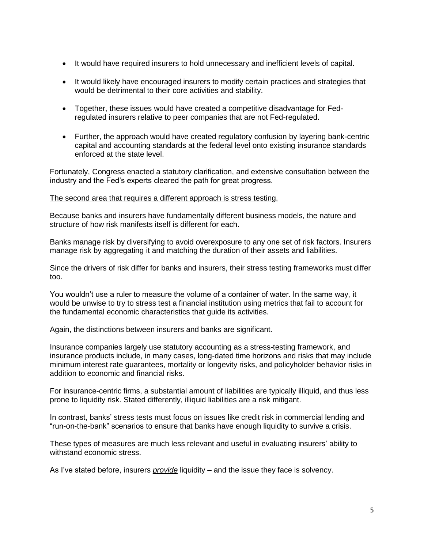- It would have required insurers to hold unnecessary and inefficient levels of capital.
- It would likely have encouraged insurers to modify certain practices and strategies that would be detrimental to their core activities and stability.
- Together, these issues would have created a competitive disadvantage for Fedregulated insurers relative to peer companies that are not Fed-regulated.
- Further, the approach would have created regulatory confusion by layering bank-centric capital and accounting standards at the federal level onto existing insurance standards enforced at the state level.

Fortunately, Congress enacted a statutory clarification, and extensive consultation between the industry and the Fed's experts cleared the path for great progress.

#### The second area that requires a different approach is stress testing.

Because banks and insurers have fundamentally different business models, the nature and structure of how risk manifests itself is different for each.

Banks manage risk by diversifying to avoid overexposure to any one set of risk factors. Insurers manage risk by aggregating it and matching the duration of their assets and liabilities.

Since the drivers of risk differ for banks and insurers, their stress testing frameworks must differ too.

You wouldn't use a ruler to measure the volume of a container of water. In the same way, it would be unwise to try to stress test a financial institution using metrics that fail to account for the fundamental economic characteristics that guide its activities.

Again, the distinctions between insurers and banks are significant.

Insurance companies largely use statutory accounting as a stress-testing framework, and insurance products include, in many cases, long-dated time horizons and risks that may include minimum interest rate guarantees, mortality or longevity risks, and policyholder behavior risks in addition to economic and financial risks.

For insurance-centric firms, a substantial amount of liabilities are typically illiquid, and thus less prone to liquidity risk. Stated differently, illiquid liabilities are a risk mitigant.

In contrast, banks' stress tests must focus on issues like credit risk in commercial lending and "run-on-the-bank" scenarios to ensure that banks have enough liquidity to survive a crisis.

These types of measures are much less relevant and useful in evaluating insurers' ability to withstand economic stress.

As I've stated before, insurers *provide* liquidity – and the issue they face is solvency.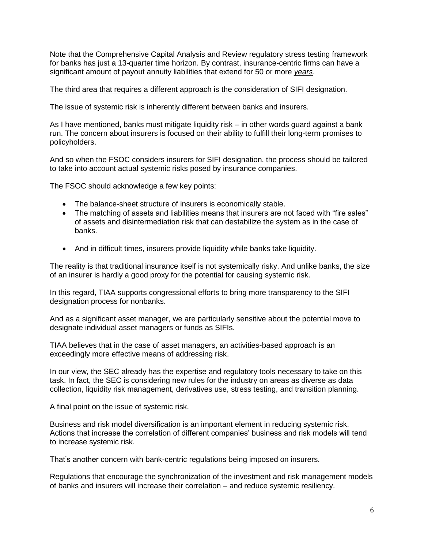Note that the Comprehensive Capital Analysis and Review regulatory stress testing framework for banks has just a 13-quarter time horizon. By contrast, insurance-centric firms can have a significant amount of payout annuity liabilities that extend for 50 or more *years*.

## The third area that requires a different approach is the consideration of SIFI designation.

The issue of systemic risk is inherently different between banks and insurers.

As I have mentioned, banks must mitigate liquidity risk – in other words guard against a bank run. The concern about insurers is focused on their ability to fulfill their long-term promises to policyholders.

And so when the FSOC considers insurers for SIFI designation, the process should be tailored to take into account actual systemic risks posed by insurance companies.

The FSOC should acknowledge a few key points:

- The balance-sheet structure of insurers is economically stable.
- The matching of assets and liabilities means that insurers are not faced with "fire sales" of assets and disintermediation risk that can destabilize the system as in the case of banks.
- And in difficult times, insurers provide liquidity while banks take liquidity.

The reality is that traditional insurance itself is not systemically risky. And unlike banks, the size of an insurer is hardly a good proxy for the potential for causing systemic risk.

In this regard, TIAA supports congressional efforts to bring more transparency to the SIFI designation process for nonbanks.

And as a significant asset manager, we are particularly sensitive about the potential move to designate individual asset managers or funds as SIFIs.

TIAA believes that in the case of asset managers, an activities-based approach is an exceedingly more effective means of addressing risk.

In our view, the SEC already has the expertise and regulatory tools necessary to take on this task. In fact, the SEC is considering new rules for the industry on areas as diverse as data collection, liquidity risk management, derivatives use, stress testing, and transition planning.

A final point on the issue of systemic risk.

Business and risk model diversification is an important element in reducing systemic risk. Actions that increase the correlation of different companies' business and risk models will tend to increase systemic risk.

That's another concern with bank-centric regulations being imposed on insurers.

Regulations that encourage the synchronization of the investment and risk management models of banks and insurers will increase their correlation – and reduce systemic resiliency.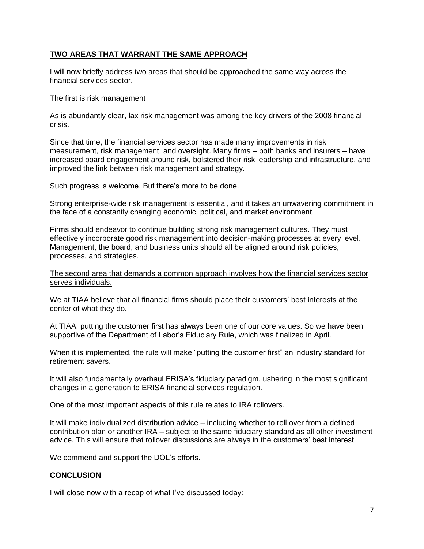## **TWO AREAS THAT WARRANT THE SAME APPROACH**

I will now briefly address two areas that should be approached the same way across the financial services sector.

#### The first is risk management

As is abundantly clear, lax risk management was among the key drivers of the 2008 financial crisis.

Since that time, the financial services sector has made many improvements in risk measurement, risk management, and oversight. Many firms – both banks and insurers – have increased board engagement around risk, bolstered their risk leadership and infrastructure, and improved the link between risk management and strategy.

Such progress is welcome. But there's more to be done.

Strong enterprise-wide risk management is essential, and it takes an unwavering commitment in the face of a constantly changing economic, political, and market environment.

Firms should endeavor to continue building strong risk management cultures. They must effectively incorporate good risk management into decision-making processes at every level. Management, the board, and business units should all be aligned around risk policies, processes, and strategies.

The second area that demands a common approach involves how the financial services sector serves individuals.

We at TIAA believe that all financial firms should place their customers' best interests at the center of what they do.

At TIAA, putting the customer first has always been one of our core values. So we have been supportive of the Department of Labor's Fiduciary Rule, which was finalized in April.

When it is implemented, the rule will make "putting the customer first" an industry standard for retirement savers.

It will also fundamentally overhaul ERISA's fiduciary paradigm, ushering in the most significant changes in a generation to ERISA financial services regulation.

One of the most important aspects of this rule relates to IRA rollovers.

It will make individualized distribution advice – including whether to roll over from a defined contribution plan or another IRA – subject to the same fiduciary standard as all other investment advice. This will ensure that rollover discussions are always in the customers' best interest.

We commend and support the DOL's efforts.

## **CONCLUSION**

I will close now with a recap of what I've discussed today: